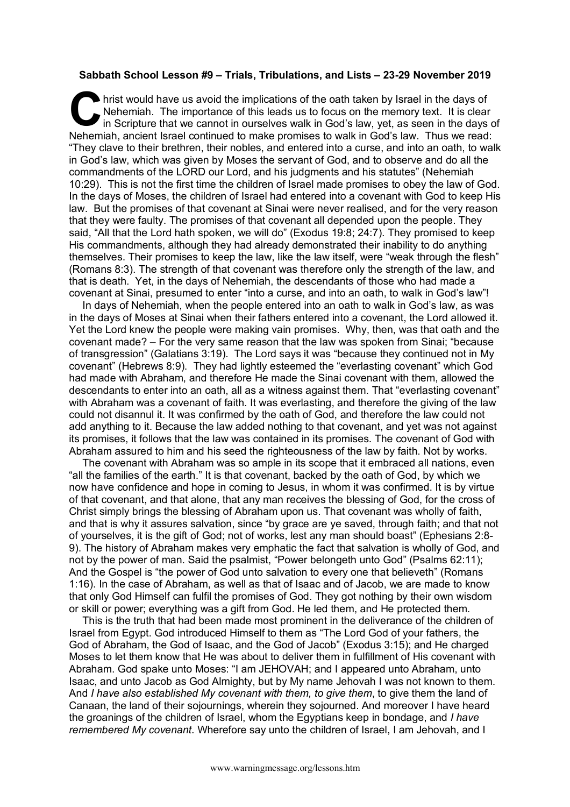## **Sabbath School Lesson #9 – Trials, Tribulations, and Lists – 23-29 November 2019**

hrist would have us avoid the implications of the oath taken by Israel in the days of Nehemiah. The importance of this leads us to focus on the memory text. It is clear in Scripture that we cannot in ourselves walk in God's law, yet, as seen in the days of Nehemiah, ancient Israel continued to make promises to walk in God's law. Thus we read: "They clave to their brethren, their nobles, and entered into a curse, and into an oath, to walk in God's law, which was given by Moses the servant of God, and to observe and do all the commandments of the LORD our Lord, and his judgments and his statutes" (Nehemiah 10:29). This is not the first time the children of Israel made promises to obey the law of God. In the days of Moses, the children of Israel had entered into a covenant with God to keep His law. But the promises of that covenant at Sinai were never realised, and for the very reason that they were faulty. The promises of that covenant all depended upon the people. They said, "All that the Lord hath spoken, we will do" (Exodus 19:8; 24:7). They promised to keep His commandments, although they had already demonstrated their inability to do anything themselves. Their promises to keep the law, like the law itself, were "weak through the flesh" (Romans 8:3). The strength of that covenant was therefore only the strength of the law, and that is death. Yet, in the days of Nehemiah, the descendants of those who had made a covenant at Sinai, presumed to enter "into a curse, and into an oath, to walk in God's law"! C hris

In days of Nehemiah, when the people entered into an oath to walk in God's law, as was in the days of Moses at Sinai when their fathers entered into a covenant, the Lord allowed it. Yet the Lord knew the people were making vain promises. Why, then, was that oath and the covenant made? – For the very same reason that the law was spoken from Sinai; "because of transgression" (Galatians 3:19). The Lord says it was "because they continued not in My covenant" (Hebrews 8:9). They had lightly esteemed the "everlasting covenant" which God had made with Abraham, and therefore He made the Sinai covenant with them, allowed the descendants to enter into an oath, all as a witness against them. That "everlasting covenant" with Abraham was a covenant of faith. It was everlasting, and therefore the giving of the law could not disannul it. It was confirmed by the oath of God, and therefore the law could not add anything to it. Because the law added nothing to that covenant, and yet was not against its promises, it follows that the law was contained in its promises. The covenant of God with Abraham assured to him and his seed the righteousness of the law by faith. Not by works.

The covenant with Abraham was so ample in its scope that it embraced all nations, even "all the families of the earth." It is that covenant, backed by the oath of God, by which we now have confidence and hope in coming to Jesus, in whom it was confirmed. It is by virtue of that covenant, and that alone, that any man receives the blessing of God, for the cross of Christ simply brings the blessing of Abraham upon us. That covenant was wholly of faith, and that is why it assures salvation, since "by grace are ye saved, through faith; and that not of yourselves, it is the gift of God; not of works, lest any man should boast" (Ephesians 2:8- 9). The history of Abraham makes very emphatic the fact that salvation is wholly of God, and not by the power of man. Said the psalmist, "Power belongeth unto God" (Psalms 62:11); And the Gospel is "the power of God unto salvation to every one that believeth" (Romans 1:16). In the case of Abraham, as well as that of Isaac and of Jacob, we are made to know that only God Himself can fulfil the promises of God. They got nothing by their own wisdom or skill or power; everything was a gift from God. He led them, and He protected them.

This is the truth that had been made most prominent in the deliverance of the children of Israel from Egypt. God introduced Himself to them as "The Lord God of your fathers, the God of Abraham, the God of Isaac, and the God of Jacob" (Exodus 3:15); and He charged Moses to let them know that He was about to deliver them in fulfillment of His covenant with Abraham. God spake unto Moses: "I am JEHOVAH; and I appeared unto Abraham, unto Isaac, and unto Jacob as God Almighty, but by My name Jehovah I was not known to them. And *I have also established My covenant with them, to give them*, to give them the land of Canaan, the land of their sojournings, wherein they sojourned. And moreover I have heard the groanings of the children of Israel, whom the Egyptians keep in bondage, and *I have remembered My covenant*. Wherefore say unto the children of Israel, I am Jehovah, and I